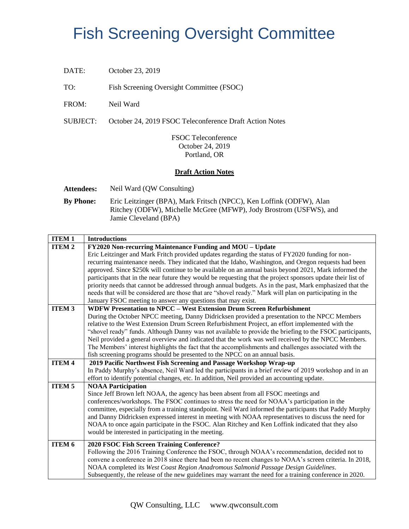## Fish Screening Oversight Committee

DATE: October 23, 2019

TO: Fish Screening Oversight Committee (FSOC)

FROM: Neil Ward

SUBJECT: October 24, 2019 FSOC Teleconference Draft Action Notes

FSOC Teleconference October 24, 2019 Portland, OR

## **Draft Action Notes**

**Attendees:** Neil Ward (QW Consulting)

**By Phone:** Eric Leitzinger (BPA), Mark Fritsch (NPCC), Ken Loffink (ODFW), Alan Ritchey (ODFW), Michelle McGree (MFWP), Jody Brostrom (USFWS), and Jamie Cleveland (BPA)

| <b>ITEM1</b>  | <b>Introductions</b>                                                                                                                                                                 |
|---------------|--------------------------------------------------------------------------------------------------------------------------------------------------------------------------------------|
| <b>ITEM2</b>  | FY2020 Non-recurring Maintenance Funding and MOU - Update                                                                                                                            |
|               | Eric Leitzinger and Mark Fritch provided updates regarding the status of FY2020 funding for non-                                                                                     |
|               | recurring maintenance needs. They indicated that the Idaho, Washington, and Oregon requests had been                                                                                 |
|               | approved. Since \$250k will continue to be available on an annual basis beyond 2021, Mark informed the                                                                               |
|               | participants that in the near future they would be requesting that the project sponsors update their list of                                                                         |
|               | priority needs that cannot be addressed through annual budgets. As in the past, Mark emphasized that the                                                                             |
|               | needs that will be considered are those that are "shovel ready." Mark will plan on participating in the                                                                              |
|               | January FSOC meeting to answer any questions that may exist.                                                                                                                         |
| <b>ITEM 3</b> | <b>WDFW Presentation to NPCC - West Extension Drum Screen Refurbishment</b>                                                                                                          |
|               | During the October NPCC meeting, Danny Didricksen provided a presentation to the NPCC Members                                                                                        |
|               | relative to the West Extension Drum Screen Refurbishment Project, an effort implemented with the                                                                                     |
|               | "shovel ready" funds. Although Danny was not available to provide the briefing to the FSOC participants,                                                                             |
|               | Neil provided a general overview and indicated that the work was well received by the NPCC Members.                                                                                  |
|               | The Members' interest highlights the fact that the accomplishments and challenges associated with the<br>fish screening programs should be presented to the NPCC on an annual basis. |
| <b>ITEM 4</b> | 2019 Pacific Northwest Fish Screening and Passage Workshop Wrap-up                                                                                                                   |
|               | In Paddy Murphy's absence, Neil Ward led the participants in a brief review of 2019 workshop and in an                                                                               |
|               | effort to identify potential changes, etc. In addition, Neil provided an accounting update.                                                                                          |
| <b>ITEM 5</b> | <b>NOAA Participation</b>                                                                                                                                                            |
|               | Since Jeff Brown left NOAA, the agency has been absent from all FSOC meetings and                                                                                                    |
|               | conferences/workshops. The FSOC continues to stress the need for NOAA's participation in the                                                                                         |
|               | committee, especially from a training standpoint. Neil Ward informed the participants that Paddy Murphy                                                                              |
|               | and Danny Didricksen expressed interest in meeting with NOAA representatives to discuss the need for                                                                                 |
|               | NOAA to once again participate in the FSOC. Alan Ritchey and Ken Loffink indicated that they also                                                                                    |
|               | would be interested in participating in the meeting.                                                                                                                                 |
| ITEM 6        |                                                                                                                                                                                      |
|               | 2020 FSOC Fish Screen Training Conference?<br>Following the 2016 Training Conference the FSOC, through NOAA's recommendation, decided not to                                         |
|               | convene a conference in 2018 since there had been no recent changes to NOAA's screen criteria. In 2018,                                                                              |
|               | NOAA completed its West Coast Region Anadromous Salmonid Passage Design Guidelines.                                                                                                  |
|               | Subsequently, the release of the new guidelines may warrant the need for a training conference in 2020.                                                                              |
|               |                                                                                                                                                                                      |